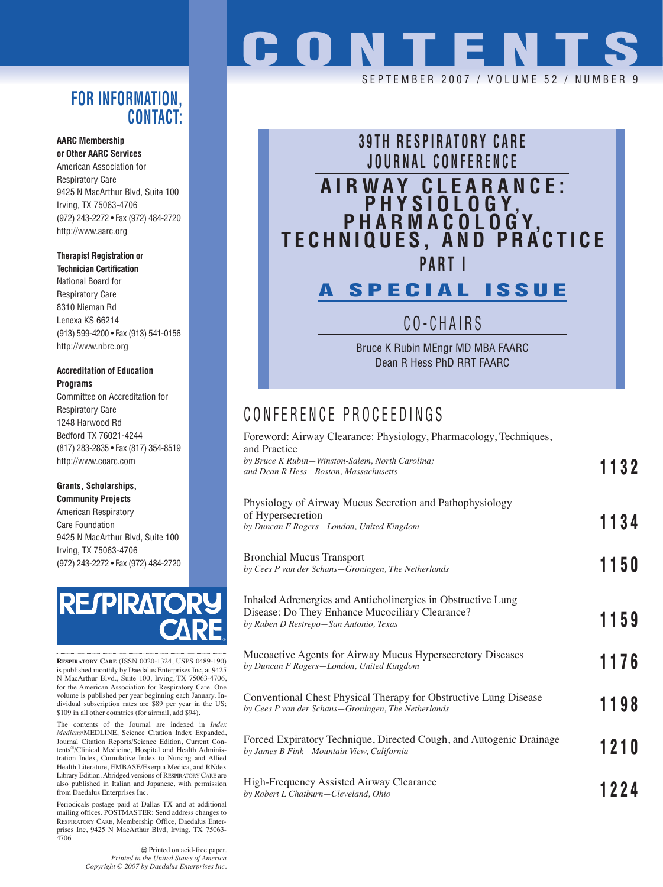### **FOR INFORMATION, CONTACT:**

#### **AARC Membership or Other AARC Services**

American Association for Respiratory Care 9425 N MacArthur Blvd, Suite 100 Irving, TX 75063-4706 (972) 243-2272 • Fax (972) 484-2720 http://www.aarc.org

### **Therapist Registration or**

**Technician Certification** National Board for Respiratory Care 8310 Nieman Rd Lenexa KS 66214 (913) 599-4200 • Fax (913) 541-0156 http://www.nbrc.org

### **Accreditation of Education Programs**

Committee on Accreditation for Respiratory Care 1248 Harwood Rd Bedford TX 76021-4244 (817) 283-2835 • Fax (817) 354-8519 http://www.coarc.com

### **Grants, Scholarships,**

**Community Projects** American Respiratory Care Foundation 9425 N MacArthur Blvd, Suite 100 Irving, TX 75063-4706 (972) 243-2272 • Fax (972) 484-2720



**RESPIRATORY CARE** (ISSN 0020-1324, USPS 0489-190) is published monthly by Daedalus Enterprises Inc, at 9425 N MacArthur Blvd., Suite 100, Irving, TX 75063-4706, for the American Association for Respiratory Care. One volume is published per year beginning each January. Individual subscription rates are \$89 per year in the US; \$109 in all other countries (for airmail, add \$94).

The contents of the Journal are indexed in *Index Medicus*/MEDLINE, Science Citation Index Expanded, Journal Citation Reports/Science Edition, Current Contents®/Clinical Medicine, Hospital and Health Administration Index, Cumulative Index to Nursing and Allied Health Literature, EMBASE/Exerpta Medica, and RNdex Library Edition. Abridged versions of RESPIRATORY CARE are also published in Italian and Japanese, with permission from Daedalus Enterprises Inc.

Periodicals postage paid at Dallas TX and at additional mailing offices. POSTMASTER: Send address changes to RESPIRATORY CARE, Membership Office, Daedalus Enterprises Inc, 9425 N MacArthur Blvd, Irving, TX 75063- 4706

> Printed on acid-free paper. *Printed in the United States of America Copyright © 2007 by Daedalus Enterprises Inc.*

# **CONTENTS**

SEPTEMBER 2007 / VOLUME 52 / NUMB



CO-CHAIRS

Bruce K Rubin MEngr MD MBA FAARC Dean R Hess PhD RRT FAARC

## CONFERENCE PROCEEDINGS

| Foreword: Airway Clearance: Physiology, Pharmacology, Techniques,<br>and Practice                                                                         |      |  |
|-----------------------------------------------------------------------------------------------------------------------------------------------------------|------|--|
| by Bruce K Rubin-Winston-Salem, North Carolina;<br>and Dean R Hess-Boston, Massachusetts                                                                  | 1132 |  |
| Physiology of Airway Mucus Secretion and Pathophysiology<br>of Hypersecretion<br>by Duncan F Rogers-London, United Kingdom                                | 1134 |  |
| <b>Bronchial Mucus Transport</b><br>by Cees P van der Schans-Groningen, The Netherlands                                                                   | 1150 |  |
| Inhaled Adrenergics and Anticholinergics in Obstructive Lung<br>Disease: Do They Enhance Mucociliary Clearance?<br>by Ruben D Restrepo-San Antonio, Texas | 1159 |  |
| Mucoactive Agents for Airway Mucus Hypersecretory Diseases<br>by Duncan F Rogers-London, United Kingdom                                                   | 1176 |  |
| Conventional Chest Physical Therapy for Obstructive Lung Disease<br>by Cees P van der Schans-Groningen, The Netherlands                                   | 1198 |  |
| Forced Expiratory Technique, Directed Cough, and Autogenic Drainage<br>by James B Fink-Mountain View, California                                          | 1210 |  |
| High-Frequency Assisted Airway Clearance<br>by Robert L Chatburn-Cleveland, Ohio                                                                          | 1224 |  |